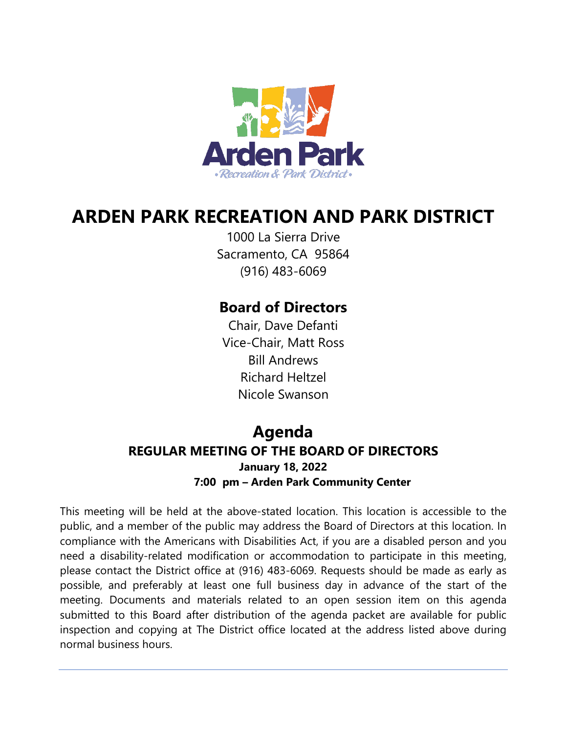

# **ARDEN PARK RECREATION AND PARK DISTRICT**

1000 La Sierra Drive Sacramento, CA 95864 (916) 483-6069

## **Board of Directors**

Chair, Dave Defanti Vice-Chair, Matt Ross Bill Andrews Richard Heltzel Nicole Swanson

# **Agenda REGULAR MEETING OF THE BOARD OF DIRECTORS January 18, 2022**

**7:00 pm – Arden Park Community Center**

This meeting will be held at the above-stated location. This location is accessible to the public, and a member of the public may address the Board of Directors at this location. In compliance with the Americans with Disabilities Act, if you are a disabled person and you need a disability-related modification or accommodation to participate in this meeting, please contact the District office at (916) 483-6069. Requests should be made as early as possible, and preferably at least one full business day in advance of the start of the meeting. Documents and materials related to an open session item on this agenda submitted to this Board after distribution of the agenda packet are available for public inspection and copying at The District office located at the address listed above during normal business hours.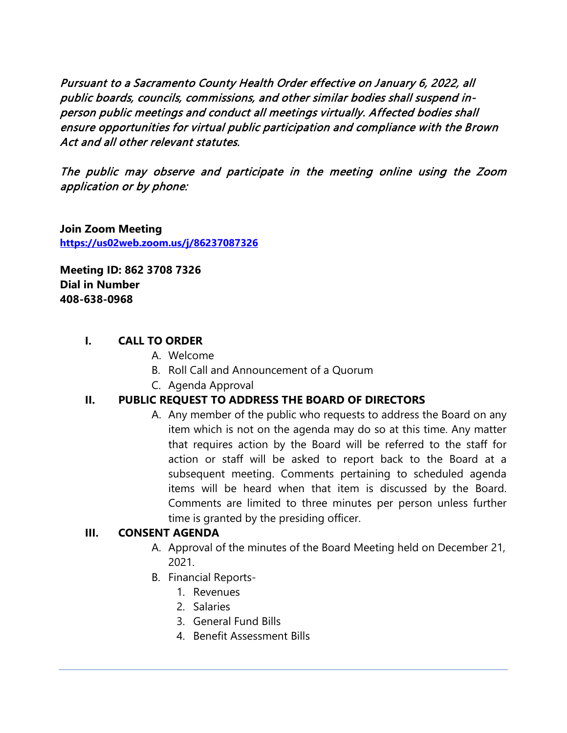Pursuant to a Sacramento County Health Order effective on January 6, 2022, all public boards, councils, commissions, and other similar bodies shall suspend inperson public meetings and conduct all meetings virtually. Affected bodies shall ensure opportunities for virtual public participation and compliance with the Brown Act and all other relevant statutes.

The public may observe and participate in the meeting online using the Zoom application or by phone:

**Join Zoom Meeting <https://us02web.zoom.us/j/86237087326>**

**Meeting ID: 862 3708 7326 Dial in Number 408-638-0968** 

#### **I. CALL TO ORDER**

- A. Welcome
- B. Roll Call and Announcement of a Quorum
- C. Agenda Approval

#### **II. PUBLIC REQUEST TO ADDRESS THE BOARD OF DIRECTORS**

A. Any member of the public who requests to address the Board on any item which is not on the agenda may do so at this time. Any matter that requires action by the Board will be referred to the staff for action or staff will be asked to report back to the Board at a subsequent meeting. Comments pertaining to scheduled agenda items will be heard when that item is discussed by the Board. Comments are limited to three minutes per person unless further time is granted by the presiding officer.

#### **III. CONSENT AGENDA**

- A. Approval of the minutes of the Board Meeting held on December 21, 2021.
- B. Financial Reports-
	- 1. Revenues
	- 2. Salaries
	- 3. General Fund Bills
	- 4. Benefit Assessment Bills